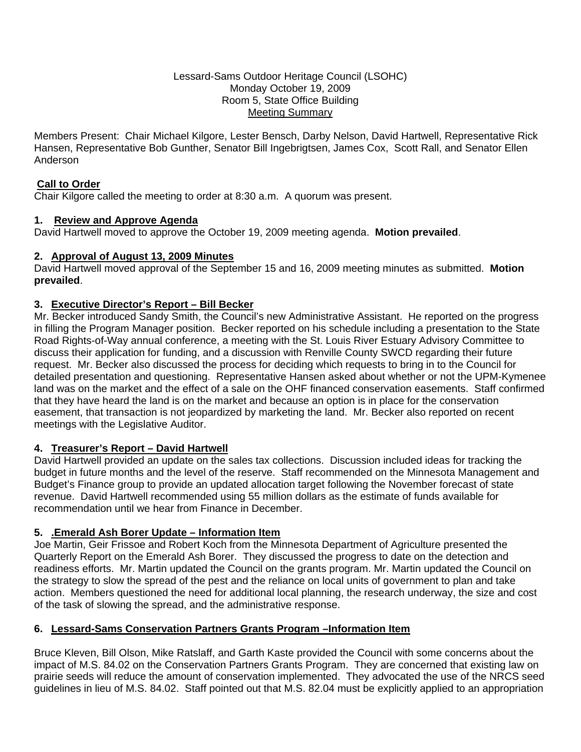#### Lessard-Sams Outdoor Heritage Council (LSOHC) Monday October 19, 2009 Room 5, State Office Building Meeting Summary

Members Present: Chair Michael Kilgore, Lester Bensch, Darby Nelson, David Hartwell, Representative Rick Hansen, Representative Bob Gunther, Senator Bill Ingebrigtsen, James Cox, Scott Rall, and Senator Ellen Anderson

### **Call to Order**

Chair Kilgore called the meeting to order at 8:30 a.m. A quorum was present.

### **1. Review and Approve Agenda**

David Hartwell moved to approve the October 19, 2009 meeting agenda. **Motion prevailed**.

### **2. Approval of August 13, 2009 Minutes**

David Hartwell moved approval of the September 15 and 16, 2009 meeting minutes as submitted. **Motion prevailed**.

# **3. Executive Director's Report – Bill Becker**

Mr. Becker introduced Sandy Smith, the Council's new Administrative Assistant. He reported on the progress in filling the Program Manager position. Becker reported on his schedule including a presentation to the State Road Rights-of-Way annual conference, a meeting with the St. Louis River Estuary Advisory Committee to discuss their application for funding, and a discussion with Renville County SWCD regarding their future request. Mr. Becker also discussed the process for deciding which requests to bring in to the Council for detailed presentation and questioning. Representative Hansen asked about whether or not the UPM-Kymenee land was on the market and the effect of a sale on the OHF financed conservation easements. Staff confirmed that they have heard the land is on the market and because an option is in place for the conservation easement, that transaction is not jeopardized by marketing the land. Mr. Becker also reported on recent meetings with the Legislative Auditor.

# **4. Treasurer's Report – David Hartwell**

David Hartwell provided an update on the sales tax collections. Discussion included ideas for tracking the budget in future months and the level of the reserve. Staff recommended on the Minnesota Management and Budget's Finance group to provide an updated allocation target following the November forecast of state revenue. David Hartwell recommended using 55 million dollars as the estimate of funds available for recommendation until we hear from Finance in December.

# **5. .Emerald Ash Borer Update – Information Item**

Joe Martin, Geir Frissoe and Robert Koch from the Minnesota Department of Agriculture presented the Quarterly Report on the Emerald Ash Borer. They discussed the progress to date on the detection and readiness efforts. Mr. Martin updated the Council on the grants program. Mr. Martin updated the Council on the strategy to slow the spread of the pest and the reliance on local units of government to plan and take action. Members questioned the need for additional local planning, the research underway, the size and cost of the task of slowing the spread, and the administrative response.

# **6. Lessard-Sams Conservation Partners Grants Program –Information Item**

Bruce Kleven, Bill Olson, Mike Ratslaff, and Garth Kaste provided the Council with some concerns about the impact of M.S. 84.02 on the Conservation Partners Grants Program. They are concerned that existing law on prairie seeds will reduce the amount of conservation implemented. They advocated the use of the NRCS seed guidelines in lieu of M.S. 84.02. Staff pointed out that M.S. 82.04 must be explicitly applied to an appropriation